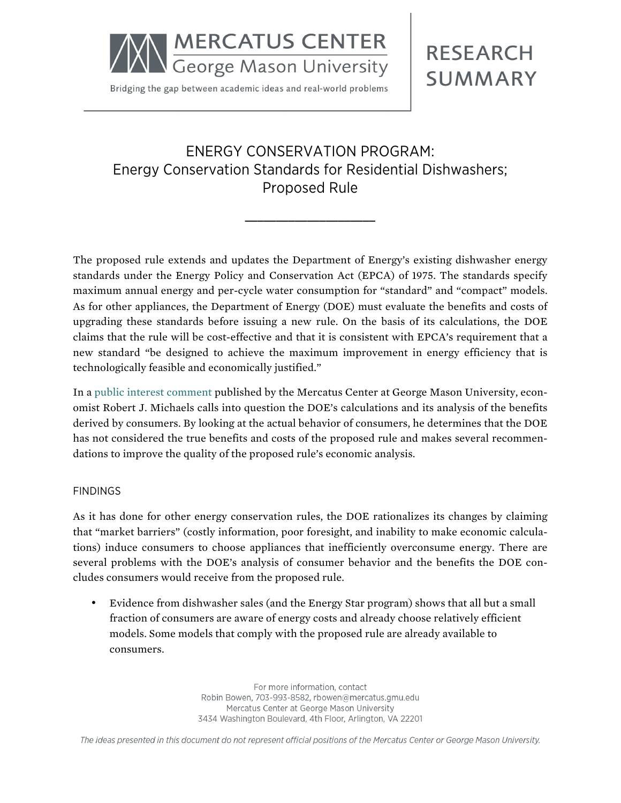

Bridging the gap between academic ideas and real-world problems

## **RESEARCH SUMMARY**

## ENERGY CONSERVATION PROGRAM: Energy Conservation Standards for Residential Dishwashers; Proposed Rule

**\_\_\_\_\_\_\_\_\_\_\_\_\_\_\_\_\_\_\_\_\_**

The proposed rule extends and updates the Department of Energy's existing dishwasher energy standards under the Energy Policy and Conservation Act (EPCA) of 1975. The standards specify maximum annual energy and per-cycle water consumption for "standard" and "compact" models. As for other appliances, the Department of Energy (DOE) must evaluate the benefits and costs of upgrading these standards before issuing a new rule. On the basis of its calculations, the DOE claims that the rule will be cost-effective and that it is consistent with EPCA's requirement that a new standard "be designed to achieve the maximum improvement in energy efficiency that is technologically feasible and economically justified."

In a [public interest comment](http://mercatus.org/publication/energy-conservation-standards-residential-dishwashers) published by the Mercatus Center at George Mason University, economist Robert J. Michaels calls into question the DOE's calculations and its analysis of the benefits derived by consumers. By looking at the actual behavior of consumers, he determines that the DOE has not considered the true benefits and costs of the proposed rule and makes several recommendations to improve the quality of the proposed rule's economic analysis.

## FINDINGS

As it has done for other energy conservation rules, the DOE rationalizes its changes by claiming that "market barriers" (costly information, poor foresight, and inability to make economic calculations) induce consumers to choose appliances that inefficiently overconsume energy. There are several problems with the DOE's analysis of consumer behavior and the benefits the DOE concludes consumers would receive from the proposed rule.

• Evidence from dishwasher sales (and the Energy Star program) shows that all but a small fraction of consumers are aware of energy costs and already choose relatively efficient models. Some models that comply with the proposed rule are already available to consumers.

> For more information, contact Robin Bowen, 703-993-8582, rbowen@mercatus.gmu.edu Mercatus Center at George Mason University 3434 Washington Boulevard, 4th Floor, Arlington, VA 22201

The ideas presented in this document do not represent official positions of the Mercatus Center or George Mason University.